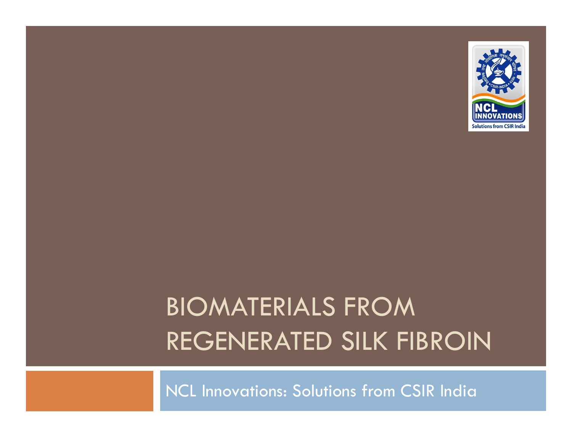

## BIOMATERIALS FROM REGENERATED SILK FIBROIN

NCL Innovations: Solutions from CSIR India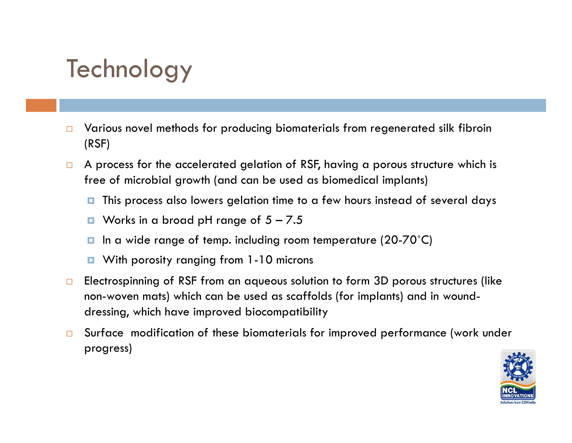#### Technology

- $\Box$  Various novel methods for producing biomaterials from regenerated silk fibroin (RSF)
- $\Box$  A process for the accelerated gelation of RSF, having a porous structure which is free of microbial growth (and can be used as biomedical implants)
	- O. This process also lowers gelation time to a few hours instead of several days
	- **D** Works in a broad pH range of  $5 7.5$
	- In a wide range of temp. including room temperature (20-70°C)
	- $\Box$ With porosity ranging from 1-10 microns
- $\Box$  Electrospinning of RSF from an aqueous solution to form 3D porous structures (like non-woven mats) which can be used as scaffolds (for implants) and in wounddressing, which have improved biocompatibility
- $\Box$  Surface modification of these biomaterials for improved performance (work under progress)

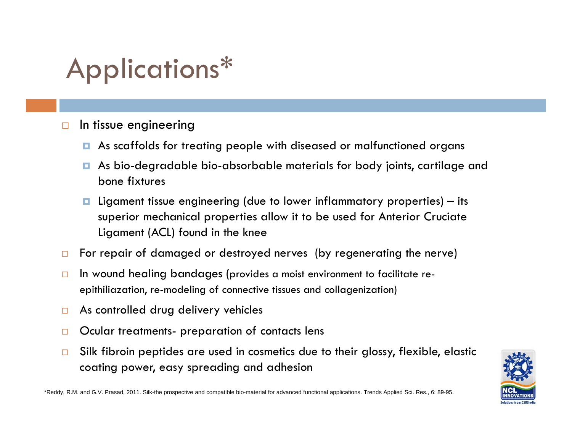## Applications\*

- $\Box$  In tissue engineering
	- **n** As scaffolds for treating people with diseased or malfunctioned organs
	- As bio-degradable bio-absorbable materials for body joints, cartilage and bone fixtures
	- $\blacksquare$  Ligament tissue engineering (due to lower inflammatory properties) its superior mechanical properties allow it to be used for Anterior Cruciate Ligament (ACL) found in the knee
- $\Box$ For repair of damaged or destroyed nerves (by regenerating the nerve)
- $\Box$  In wound healing bandages (provides a moist environment to facilitate reepithiliazation, re-modeling of connective tissues and collagenization)
- $\Box$ As controlled drug delivery vehicles
- $\Box$ Ocular treatments- preparation of contacts lens
- $\Box$  Silk fibroin peptides are used in cosmetics due to their glossy, flexible, elastic coating power, easy spreading and adhesion



\*Reddy, R.M. and G.V. Prasad, 2011. Silk-the prospective and compatible bio-material for advanced functional applications. Trends Applied Sci. Res., 6: 89-95.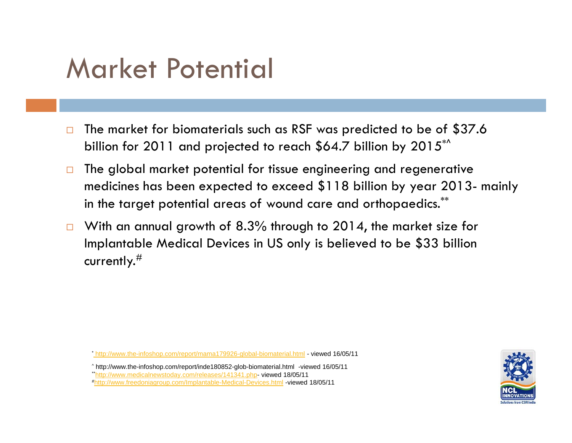## Market Potential

- $\Box$  The market for biomaterials such as RSF was predicted to be of \$37.6 billion for 2011 and projected to reach \$64.7 billion by 2015<sup>\*^</sup>
- $\Box$  The global market potential for tissue engineering and regenerative medicines has been expected to exceed \$118 billion by year 2013- mainly in the target potential areas of wound care and orthopaedics.\*\*
- $\Box$  With an annual growth of 8.3% through to 2014, the market size for Implantable Medical Devices in US only is believed to be \$33 billion currently. $^\#$

\* http://www.the-infoshop.com/report/mama179926-global-biomaterial.html - viewed 16/05/11

^ http://www.the-infoshop.com/report/inde180852-glob-biomaterial.html -viewed 16/05/11 \*\*http://www.medicalnewstoday.com/releases/141341.php- viewed 18/05/11 #http://www.freedoniagroup.com/Implantable-Medical-Devices.html -viewed 18/05/11

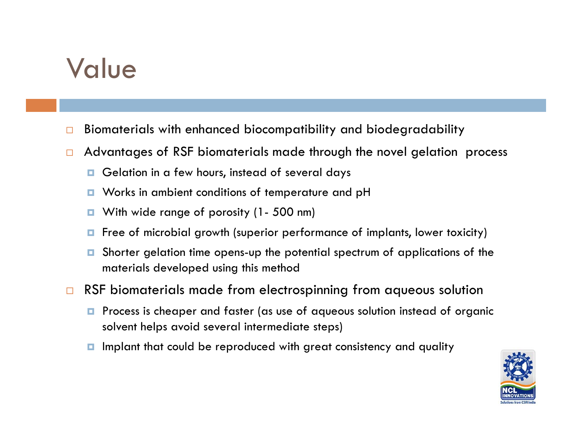## Value

- $\Box$ Biomaterials with enhanced biocompatibility and biodegradability
- $\Box$  Advantages of RSF biomaterials made through the novel gelation process
	- **G** Gelation in a few hours, instead of several days
	- **u** Works in ambient conditions of temperature and pH
	- $\Box$ With wide range of porosity (1- 500 nm)
	- **n** Free of microbial growth (superior performance of implants, lower toxicity)
	- $\Box$ Shorter gelation time opens-up the potential spectrum of applications of the materials developed using this method
- $\Box$  RSF biomaterials made from electrospinning from aqueous solution
	- **P** Process is cheaper and faster (as use of aqueous solution instead of organic solvent helps avoid several intermediate steps)
	- **I** Implant that could be reproduced with great consistency and quality

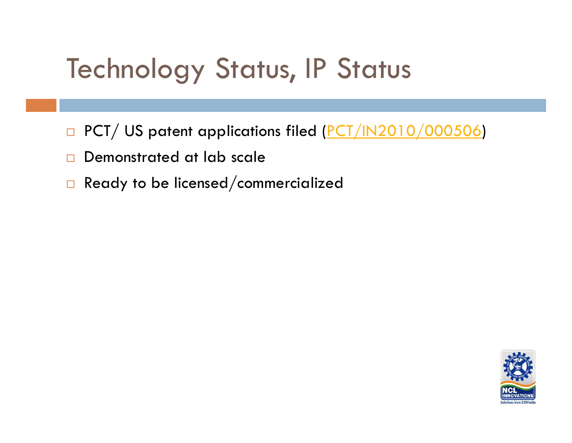## Technology Status, IP Status

- □ PCT/ US patent applications filed (<u>PCT/IN2010/000506</u>)
- $\Box$ Demonstrated at lab scale
- $\Box$ Ready to be licensed/commercialized

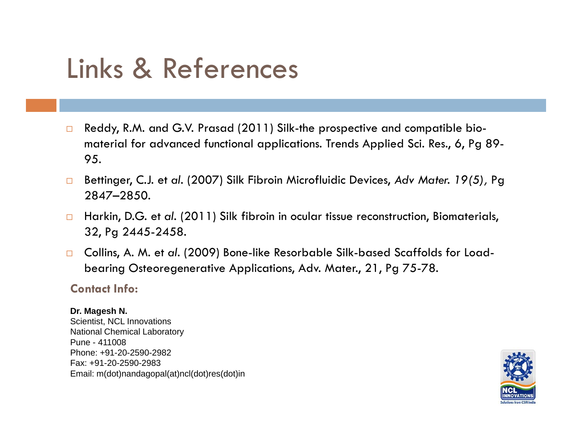## Links & References

- $\Box$  Reddy, R.M. and G.V. Prasad (2011) Silk-the prospective and compatible biomaterial for advanced functional applications. Trends Applied Sci. Res., 6, Pg 89- 95.
- $\Box$  Bettinger, C.J. et *al.* (2007) Silk Fibroin Microfluidic Devices, *Adv Mater. 19(5),* Pg 2847–2850*.*
- $\Box$  Harkin, D.G. et *al.* (2011) Silk fibroin in ocular tissue reconstruction, Biomaterials, 32, Pg 2445-2458.
- Collins, A. M. et al. (2009) Bone-like Resorbable Silk-based Scaffolds for Load- $\Box$ bearing Osteoregenerative Applications, Adv. Mater., 21, Pg 75-78.

#### **Contact Info:**

#### **Dr. Magesh N.**  Scientist, NCL Innovations National Chemical Laboratory Pune - 411008Phone: +91-20-2590-2982Fax: +91-20-2590-2983 Email: m(dot)nandagopal(at)ncl(dot)res(dot)in